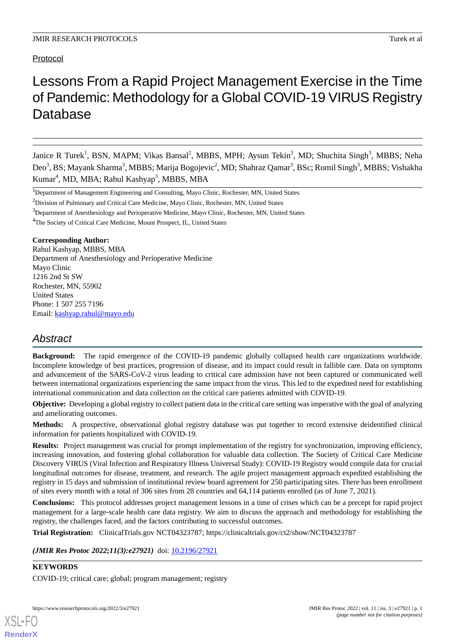Protocol

# Lessons From a Rapid Project Management Exercise in the Time of Pandemic: Methodology for a Global COVID-19 VIRUS Registry Database

Janice R Turek<sup>1</sup>, BSN, MAPM; Vikas Bansal<sup>2</sup>, MBBS, MPH; Aysun Tekin<sup>3</sup>, MD; Shuchita Singh<sup>3</sup>, MBBS; Neha Deo<sup>3</sup>, BS; Mayank Sharma<sup>3</sup>, MBBS; Marija Bogojevic<sup>2</sup>, MD; Shahraz Qamar<sup>3</sup>, BSc; Romil Singh<sup>3</sup>, MBBS; Vishakha Kumar<sup>4</sup>, MD, MBA; Rahul Kashyap<sup>3</sup>, MBBS, MBA

<sup>1</sup>Department of Management Engineering and Consulting, Mayo Clinic, Rochester, MN, United States

<sup>4</sup>The Society of Critical Care Medicine, Mount Prospect, IL, United States

# **Corresponding Author:**

Rahul Kashyap, MBBS, MBA Department of Anesthesiology and Perioperative Medicine Mayo Clinic 1216 2nd St SW Rochester, MN, 55902 United States Phone: 1 507 255 7196 Email: [kashyap.rahul@mayo.edu](mailto:kashyap.rahul@mayo.edu)

# *Abstract*

**Background:** The rapid emergence of the COVID-19 pandemic globally collapsed health care organizations worldwide. Incomplete knowledge of best practices, progression of disease, and its impact could result in fallible care. Data on symptoms and advancement of the SARS-CoV-2 virus leading to critical care admission have not been captured or communicated well between international organizations experiencing the same impact from the virus. This led to the expedited need for establishing international communication and data collection on the critical care patients admitted with COVID-19.

**Objective:** Developing a global registry to collect patient data in the critical care setting was imperative with the goal of analyzing and ameliorating outcomes.

**Methods:** A prospective, observational global registry database was put together to record extensive deidentified clinical information for patients hospitalized with COVID-19.

**Results:** Project management was crucial for prompt implementation of the registry for synchronization, improving efficiency, increasing innovation, and fostering global collaboration for valuable data collection. The Society of Critical Care Medicine Discovery VIRUS (Viral Infection and Respiratory Illness Universal Study): COVID-19 Registry would compile data for crucial longitudinal outcomes for disease, treatment, and research. The agile project management approach expedited establishing the registry in 15 days and submission of institutional review board agreement for 250 participating sites. There has been enrollment of sites every month with a total of 306 sites from 28 countries and 64,114 patients enrolled (as of June 7, 2021).

**Conclusions:** This protocol addresses project management lessons in a time of crises which can be a precept for rapid project management for a large-scale health care data registry. We aim to discuss the approach and methodology for establishing the registry, the challenges faced, and the factors contributing to successful outcomes.

**Trial Registration:** ClinicalTrials.gov NCT04323787; https://clinicaltrials.gov/ct2/show/NCT04323787

(JMIR Res Protoc 2022;11(3):e27921) doi: [10.2196/27921](http://dx.doi.org/10.2196/27921)

# **KEYWORDS**

[XSL](http://www.w3.org/Style/XSL)•FO **[RenderX](http://www.renderx.com/)**

COVID-19; critical care; global; program management; registry

<sup>&</sup>lt;sup>2</sup>Division of Pulmonary and Critical Care Medicine, Mayo Clinic, Rochester, MN, United States

<sup>&</sup>lt;sup>3</sup>Department of Anesthesiology and Perioperative Medicine, Mayo Clinic, Rochester, MN, United States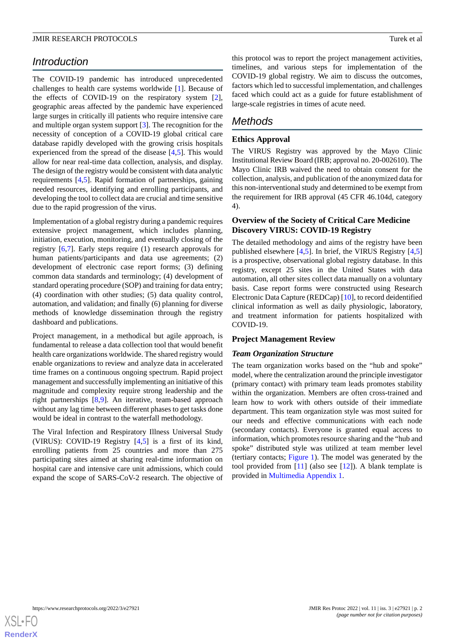# *Introduction*

The COVID-19 pandemic has introduced unprecedented challenges to health care systems worldwide [\[1](#page-9-0)]. Because of the effects of COVID-19 on the respiratory system [[2\]](#page-9-1), geographic areas affected by the pandemic have experienced large surges in critically ill patients who require intensive care and multiple organ system support [\[3](#page-9-2)]. The recognition for the necessity of conception of a COVID-19 global critical care database rapidly developed with the growing crisis hospitals experienced from the spread of the disease [\[4](#page-9-3),[5\]](#page-9-4). This would allow for near real-time data collection, analysis, and display. The design of the registry would be consistent with data analytic requirements [[4](#page-9-3)[,5](#page-9-4)]. Rapid formation of partnerships, gaining needed resources, identifying and enrolling participants, and developing the tool to collect data are crucial and time sensitive due to the rapid progression of the virus.

Implementation of a global registry during a pandemic requires extensive project management, which includes planning, initiation, execution, monitoring, and eventually closing of the registry [\[6](#page-9-5),[7\]](#page-9-6). Early steps require (1) research approvals for human patients/participants and data use agreements; (2) development of electronic case report forms; (3) defining common data standards and terminology; (4) development of standard operating procedure (SOP) and training for data entry; (4) coordination with other studies; (5) data quality control, automation, and validation; and finally (6) planning for diverse methods of knowledge dissemination through the registry dashboard and publications.

Project management, in a methodical but agile approach, is fundamental to release a data collection tool that would benefit health care organizations worldwide. The shared registry would enable organizations to review and analyze data in accelerated time frames on a continuous ongoing spectrum. Rapid project management and successfully implementing an initiative of this magnitude and complexity require strong leadership and the right partnerships [[8](#page-9-7)[,9](#page-9-8)]. An iterative, team-based approach without any lag time between different phases to get tasks done would be ideal in contrast to the waterfall methodology.

The Viral Infection and Respiratory Illness Universal Study (VIRUS): COVID-19 Registry [[4](#page-9-3)[,5\]](#page-9-4) is a first of its kind, enrolling patients from 25 countries and more than 275 participating sites aimed at sharing real-time information on hospital care and intensive care unit admissions, which could expand the scope of SARS-CoV-2 research. The objective of this protocol was to report the project management activities, timelines, and various steps for implementation of the COVID-19 global registry. We aim to discuss the outcomes, factors which led to successful implementation, and challenges faced which could act as a guide for future establishment of large-scale registries in times of acute need.

# *Methods*

# **Ethics Approval**

The VIRUS Registry was approved by the Mayo Clinic Institutional Review Board (IRB; approval no. 20-002610). The Mayo Clinic IRB waived the need to obtain consent for the collection, analysis, and publication of the anonymized data for this non-interventional study and determined to be exempt from the requirement for IRB approval (45 CFR 46.104d, category 4).

# **Overview of the Society of Critical Care Medicine Discovery VIRUS: COVID-19 Registry**

The detailed methodology and aims of the registry have been published elsewhere [[4,](#page-9-3)[5](#page-9-4)]. In brief, the VIRUS Registry [[4](#page-9-3)[,5](#page-9-4)] is a prospective, observational global registry database. In this registry, except 25 sites in the United States with data automation, all other sites collect data manually on a voluntary basis. Case report forms were constructed using Research Electronic Data Capture (REDCap) [[10\]](#page-9-9), to record deidentified clinical information as well as daily physiologic, laboratory, and treatment information for patients hospitalized with COVID-19.

# **Project Management Review**

# *Team Organization Structure*

The team organization works based on the "hub and spoke" model, where the centralization around the principle investigator (primary contact) with primary team leads promotes stability within the organization. Members are often cross-trained and learn how to work with others outside of their immediate department. This team organization style was most suited for our needs and effective communications with each node (secondary contacts). Everyone is granted equal access to information, which promotes resource sharing and the "hub and spoke" distributed style was utilized at team member level (tertiary contacts; [Figure 1\)](#page-2-0). The model was generated by the tool provided from  $[11]$  $[11]$  (also see  $[12]$  $[12]$ ). A blank template is provided in [Multimedia Appendix 1.](#page-9-12)

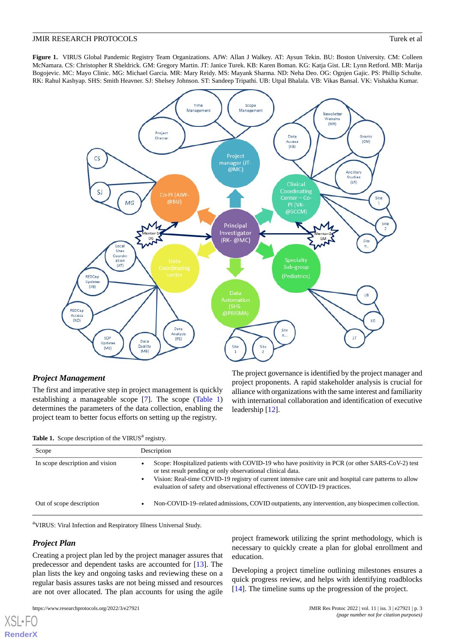<span id="page-2-0"></span>**Figure 1.** VIRUS Global Pandemic Registry Team Organizations. AJW: Allan J Walkey. AT: Aysun Tekin. BU: Boston University. CM: Colleen McNamara. CS: Christopher R Sheldrick. GM: Gregory Martin. JT: Janice Turek. KB: Karen Boman. KG: Katja Gist. LR: Lynn Retford. MB: Marija Bogojevic. MC: Mayo Clinic. MG: Michael Garcia. MR: Mary Reidy. MS: Mayank Sharma. ND: Neha Deo. OG: Ognjen Gajic. PS: Phillip Schulte. RK: Rahul Kashyap. SHS: Smith Heavner. SJ: Shelsey Johnson. ST: Sandeep Tripathi. UB: Utpal Bhalala. VB: Vikas Bansal. VK: Vishakha Kumar.



# *Project Management*

<span id="page-2-1"></span>The first and imperative step in project management is quickly establishing a manageable scope [[7\]](#page-9-6). The scope [\(Table 1](#page-2-1)) determines the parameters of the data collection, enabling the project team to better focus efforts on setting up the registry.

The project governance is identified by the project manager and project proponents. A rapid stakeholder analysis is crucial for alliance with organizations with the same interest and familiarity with international collaboration and identification of executive leadership [[12\]](#page-9-11).

Table 1. Scope description of the VIRUS<sup>a</sup> registry.

| Scope                           | Description                                                                                                                                                                                                                                                                                                                                              |  |
|---------------------------------|----------------------------------------------------------------------------------------------------------------------------------------------------------------------------------------------------------------------------------------------------------------------------------------------------------------------------------------------------------|--|
| In scope description and vision | Scope: Hospitalized patients with COVID-19 who have positivity in PCR (or other SARS-CoV-2) test<br>or test result pending or only observational clinical data.<br>Vision: Real-time COVID-19 registry of current intensive care unit and hospital care patterns to allow<br>evaluation of safety and observational effectiveness of COVID-19 practices. |  |
| Out of scope description        | Non-COVID-19-related admissions, COVID outpatients, any intervention, any biospecimen collection.                                                                                                                                                                                                                                                        |  |

<sup>a</sup>VIRUS: Viral Infection and Respiratory Illness Universal Study.

# *Project Plan*

 $X$ SL•F $C$ **[RenderX](http://www.renderx.com/)**

Creating a project plan led by the project manager assures that predecessor and dependent tasks are accounted for [[13\]](#page-9-13). The plan lists the key and ongoing tasks and reviewing these on a regular basis assures tasks are not being missed and resources are not over allocated. The plan accounts for using the agile

project framework utilizing the sprint methodology, which is necessary to quickly create a plan for global enrollment and education.

Developing a project timeline outlining milestones ensures a quick progress review, and helps with identifying roadblocks [[14\]](#page-9-14). The timeline sums up the progression of the project.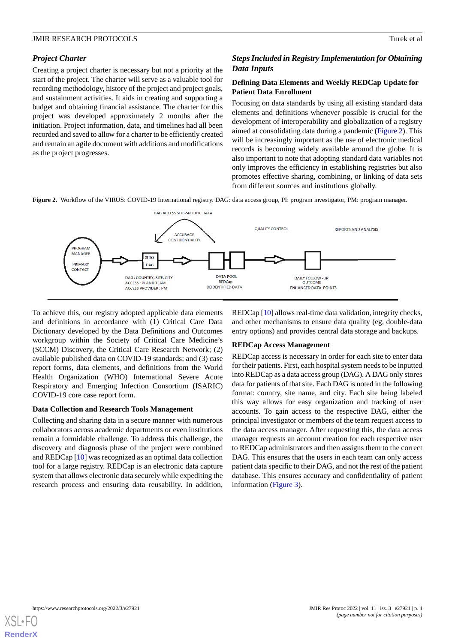# *Project Charter*

Creating a project charter is necessary but not a priority at the start of the project. The charter will serve as a valuable tool for recording methodology, history of the project and project goals, and sustainment activities. It aids in creating and supporting a budget and obtaining financial assistance. The charter for this project was developed approximately 2 months after the initiation. Project information, data, and timelines had all been recorded and saved to allow for a charter to be efficiently created and remain an agile document with additions and modifications as the project progresses.

# *Steps Included in Registry Implementation for Obtaining Data Inputs*

# **Defining Data Elements and Weekly REDCap Update for Patient Data Enrollment**

Focusing on data standards by using all existing standard data elements and definitions whenever possible is crucial for the development of interoperability and globalization of a registry aimed at consolidating data during a pandemic ([Figure 2\)](#page-3-0). This will be increasingly important as the use of electronic medical records is becoming widely available around the globe. It is also important to note that adopting standard data variables not only improves the efficiency in establishing registries but also promotes effective sharing, combining, or linking of data sets from different sources and institutions globally.

<span id="page-3-0"></span>**Figure 2.** Workflow of the VIRUS: COVID-19 International registry. DAG: data access group, PI: program investigator, PM: program manager.



To achieve this, our registry adopted applicable data elements and definitions in accordance with (1) Critical Care Data Dictionary developed by the Data Definitions and Outcomes workgroup within the Society of Critical Care Medicine's (SCCM) Discovery, the Critical Care Research Network; (2) available published data on COVID-19 standards; and (3) case report forms, data elements, and definitions from the World Health Organization (WHO) International Severe Acute Respiratory and Emerging Infection Consortium (ISARIC) COVID-19 core case report form.

# **Data Collection and Research Tools Management**

Collecting and sharing data in a secure manner with numerous collaborators across academic departments or even institutions remain a formidable challenge. To address this challenge, the discovery and diagnosis phase of the project were combined and REDCap [\[10](#page-9-9)] was recognized as an optimal data collection tool for a large registry. REDCap is an electronic data capture system that allows electronic data securely while expediting the research process and ensuring data reusability. In addition,

REDCap [[10\]](#page-9-9) allows real-time data validation, integrity checks, and other mechanisms to ensure data quality (eg, double-data entry options) and provides central data storage and backups.

# **REDCap Access Management**

REDCap access is necessary in order for each site to enter data for their patients. First, each hospital system needs to be inputted into REDCap as a data access group (DAG). A DAG only stores data for patients of that site. Each DAG is noted in the following format: country, site name, and city. Each site being labeled this way allows for easy organization and tracking of user accounts. To gain access to the respective DAG, either the principal investigator or members of the team request access to the data access manager. After requesting this, the data access manager requests an account creation for each respective user to REDCap administrators and then assigns them to the correct DAG. This ensures that the users in each team can only access patient data specific to their DAG, and not the rest of the patient database. This ensures accuracy and confidentiality of patient information ([Figure 3](#page-4-0)).

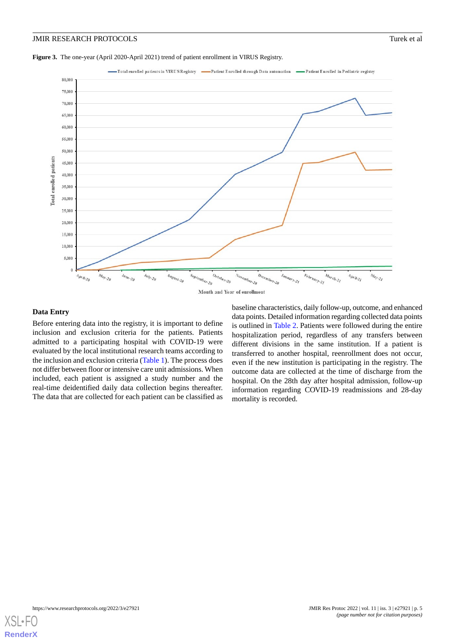<span id="page-4-0"></span>



#### **Data Entry**

Before entering data into the registry, it is important to define inclusion and exclusion criteria for the patients. Patients admitted to a participating hospital with COVID-19 were evaluated by the local institutional research teams according to the inclusion and exclusion criteria [\(Table 1\)](#page-2-1). The process does not differ between floor or intensive care unit admissions. When included, each patient is assigned a study number and the real-time deidentified daily data collection begins thereafter. The data that are collected for each patient can be classified as

baseline characteristics, daily follow-up, outcome, and enhanced data points. Detailed information regarding collected data points is outlined in [Table 2.](#page-5-0) Patients were followed during the entire hospitalization period, regardless of any transfers between different divisions in the same institution. If a patient is transferred to another hospital, reenrollment does not occur, even if the new institution is participating in the registry. The outcome data are collected at the time of discharge from the hospital. On the 28th day after hospital admission, follow-up information regarding COVID-19 readmissions and 28-day mortality is recorded.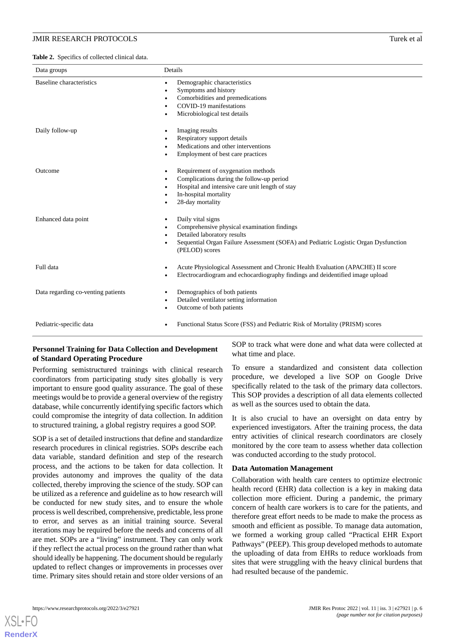<span id="page-5-0"></span>**Table 2.** Specifics of collected clinical data.

| Data groups                                               | Details                                                                                                                                                                                                  |  |
|-----------------------------------------------------------|----------------------------------------------------------------------------------------------------------------------------------------------------------------------------------------------------------|--|
| <b>Baseline</b> characteristics<br>$\bullet$<br>$\bullet$ | Demographic characteristics<br>Symptoms and history<br>Comorbidities and premedications<br>COVID-19 manifestations<br>Microbiological test details                                                       |  |
| Daily follow-up<br>٠                                      | Imaging results<br>Respiratory support details<br>Medications and other interventions<br>Employment of best care practices                                                                               |  |
| Outcome<br>٠                                              | Requirement of oxygenation methods<br>Complications during the follow-up period<br>Hospital and intensive care unit length of stay<br>In-hospital mortality<br>28-day mortality                          |  |
| Enhanced data point<br>$\bullet$                          | Daily vital signs<br>Comprehensive physical examination findings<br>Detailed laboratory results<br>Sequential Organ Failure Assessment (SOFA) and Pediatric Logistic Organ Dysfunction<br>(PELOD) scores |  |
| Full data                                                 | Acute Physiological Assessment and Chronic Health Evaluation (APACHE) II score<br>Electrocardiogram and echocardiography findings and deidentified image upload                                          |  |
| Data regarding co-venting patients                        | Demographics of both patients<br>Detailed ventilator setting information<br>Outcome of both patients                                                                                                     |  |
| Pediatric-specific data                                   | Functional Status Score (FSS) and Pediatric Risk of Mortality (PRISM) scores                                                                                                                             |  |

# **Personnel Training for Data Collection and Development of Standard Operating Procedure**

Performing semistructured trainings with clinical research coordinators from participating study sites globally is very important to ensure good quality assurance. The goal of these meetings would be to provide a general overview of the registry database, while concurrently identifying specific factors which could compromise the integrity of data collection. In addition to structured training, a global registry requires a good SOP.

SOP is a set of detailed instructions that define and standardize research procedures in clinical registries. SOPs describe each data variable, standard definition and step of the research process, and the actions to be taken for data collection. It provides autonomy and improves the quality of the data collected, thereby improving the science of the study. SOP can be utilized as a reference and guideline as to how research will be conducted for new study sites, and to ensure the whole process is well described, comprehensive, predictable, less prone to error, and serves as an initial training source. Several iterations may be required before the needs and concerns of all are met. SOPs are a "living" instrument. They can only work if they reflect the actual process on the ground rather than what should ideally be happening. The document should be regularly updated to reflect changes or improvements in processes over time. Primary sites should retain and store older versions of an

SOP to track what were done and what data were collected at what time and place.

To ensure a standardized and consistent data collection procedure, we developed a live SOP on Google Drive specifically related to the task of the primary data collectors. This SOP provides a description of all data elements collected as well as the sources used to obtain the data.

It is also crucial to have an oversight on data entry by experienced investigators. After the training process, the data entry activities of clinical research coordinators are closely monitored by the core team to assess whether data collection was conducted according to the study protocol.

# **Data Automation Management**

Collaboration with health care centers to optimize electronic health record (EHR) data collection is a key in making data collection more efficient. During a pandemic, the primary concern of health care workers is to care for the patients, and therefore great effort needs to be made to make the process as smooth and efficient as possible. To manage data automation, we formed a working group called "Practical EHR Export Pathways" (PEEP). This group developed methods to automate the uploading of data from EHRs to reduce workloads from sites that were struggling with the heavy clinical burdens that had resulted because of the pandemic.

[XSL](http://www.w3.org/Style/XSL)•FO **[RenderX](http://www.renderx.com/)**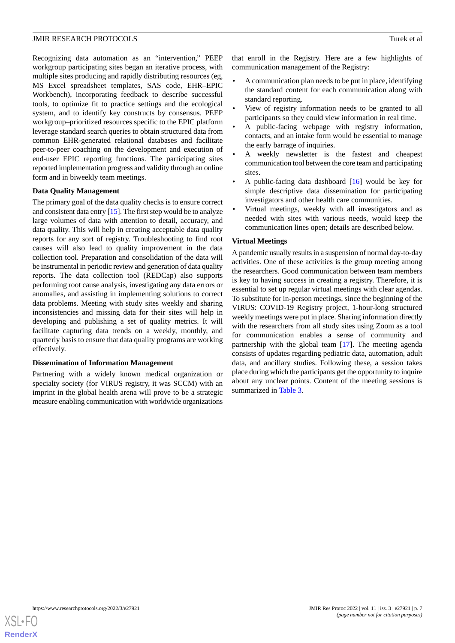Recognizing data automation as an "intervention," PEEP workgroup participating sites began an iterative process, with multiple sites producing and rapidly distributing resources (eg, MS Excel spreadsheet templates, SAS code, EHR–EPIC Workbench), incorporating feedback to describe successful tools, to optimize fit to practice settings and the ecological system, and to identify key constructs by consensus. PEEP workgroup–prioritized resources specific to the EPIC platform leverage standard search queries to obtain structured data from common EHR-generated relational databases and facilitate peer-to-peer coaching on the development and execution of end-user EPIC reporting functions. The participating sites reported implementation progress and validity through an online form and in biweekly team meetings.

# **Data Quality Management**

The primary goal of the data quality checks is to ensure correct and consistent data entry [[15\]](#page-9-15). The first step would be to analyze large volumes of data with attention to detail, accuracy, and data quality. This will help in creating acceptable data quality reports for any sort of registry. Troubleshooting to find root causes will also lead to quality improvement in the data collection tool. Preparation and consolidation of the data will be instrumental in periodic review and generation of data quality reports. The data collection tool (REDCap) also supports performing root cause analysis, investigating any data errors or anomalies, and assisting in implementing solutions to correct data problems. Meeting with study sites weekly and sharing inconsistencies and missing data for their sites will help in developing and publishing a set of quality metrics. It will facilitate capturing data trends on a weekly, monthly, and quarterly basis to ensure that data quality programs are working effectively.

# **Dissemination of Information Management**

Partnering with a widely known medical organization or specialty society (for VIRUS registry, it was SCCM) with an imprint in the global health arena will prove to be a strategic measure enabling communication with worldwide organizations

that enroll in the Registry. Here are a few highlights of communication management of the Registry:

- A communication plan needs to be put in place, identifying the standard content for each communication along with standard reporting.
- View of registry information needs to be granted to all participants so they could view information in real time.
- A public-facing webpage with registry information, contacts, and an intake form would be essential to manage the early barrage of inquiries.
- A weekly newsletter is the fastest and cheapest communication tool between the core team and participating sites.
- A public-facing data dashboard  $[16]$  $[16]$  would be key for simple descriptive data dissemination for participating investigators and other health care communities.
- Virtual meetings, weekly with all investigators and as needed with sites with various needs, would keep the communication lines open; details are described below.

#### **Virtual Meetings**

A pandemic usually results in a suspension of normal day-to-day activities. One of these activities is the group meeting among the researchers. Good communication between team members is key to having success in creating a registry. Therefore, it is essential to set up regular virtual meetings with clear agendas. To substitute for in-person meetings, since the beginning of the VIRUS: COVID-19 Registry project, 1-hour-long structured weekly meetings were put in place. Sharing information directly with the researchers from all study sites using Zoom as a tool for communication enables a sense of community and partnership with the global team [[17\]](#page-10-0). The meeting agenda consists of updates regarding pediatric data, automation, adult data, and ancillary studies. Following these, a session takes place during which the participants get the opportunity to inquire about any unclear points. Content of the meeting sessions is summarized in [Table 3.](#page-7-0)

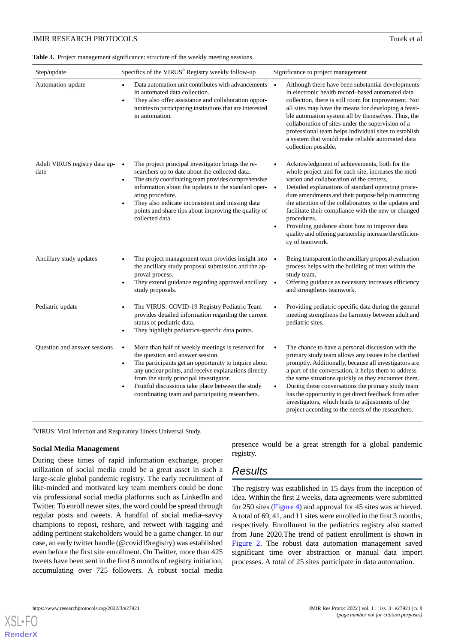#### <span id="page-7-0"></span>**Table 3.** Project management significance: structure of the weekly meeting sessions.

| Step/update                           | Specifics of the VIRUS <sup>a</sup> Registry weekly follow-up                                                                                                                                                                                                                                                                                                                                              | Significance to project management                                                                                                                                                                                                                                                                                                                                                                                                                                                                                                                    |
|---------------------------------------|------------------------------------------------------------------------------------------------------------------------------------------------------------------------------------------------------------------------------------------------------------------------------------------------------------------------------------------------------------------------------------------------------------|-------------------------------------------------------------------------------------------------------------------------------------------------------------------------------------------------------------------------------------------------------------------------------------------------------------------------------------------------------------------------------------------------------------------------------------------------------------------------------------------------------------------------------------------------------|
| Automation update                     | Data automation unit contributes with advancements<br>$\bullet$<br>in automated data collection.<br>They also offer assistance and collaboration oppor-<br>tunities to participating institutions that are interested<br>in automation.                                                                                                                                                                    | Although there have been substantial developments<br>$\bullet$<br>in electronic health record-based automated data<br>collection, there is still room for improvement. Not<br>all sites may have the means for developing a feasi-<br>ble automation system all by themselves. Thus, the<br>collaboration of sites under the supervision of a<br>professional team helps individual sites to establish<br>a system that would make reliable automated data<br>collection possible.                                                                    |
| Adult VIRUS registry data up-<br>date | The project principal investigator brings the re-<br>$\bullet$<br>searchers up to date about the collected data.<br>The study coordinating team provides comprehensive<br>$\bullet$<br>information about the updates in the standard oper-<br>ating procedure.<br>They also indicate inconsistent and missing data<br>$\bullet$<br>points and share tips about improving the quality of<br>collected data. | Acknowledgment of achievements, both for the<br>whole project and for each site, increases the moti-<br>vation and collaboration of the centers.<br>Detailed explanations of standard operating proce-<br>$\bullet$<br>dure amendments and their purpose help in attracting<br>the attention of the collaborators to the updates and<br>facilitate their compliance with the new or changed<br>procedures.<br>Providing guidance about how to improve data<br>$\bullet$<br>quality and offering partnership increase the efficien-<br>cy of teamwork. |
| Ancillary study updates               | The project management team provides insight into •<br>the ancillary study proposal submission and the ap-<br>proval process.<br>They extend guidance regarding approved ancillary<br>study proposals.                                                                                                                                                                                                     | Being transparent in the ancillary proposal evaluation<br>process helps with the building of trust within the<br>study team.<br>Offering guidance as necessary increases efficiency<br>and strengthens teamwork.                                                                                                                                                                                                                                                                                                                                      |
| Pediatric update                      | The VIRUS: COVID-19 Registry Pediatric Team<br>provides detailed information regarding the current<br>status of pediatric data.<br>They highlight pediatrics-specific data points.                                                                                                                                                                                                                         | Providing pediatric-specific data during the general<br>meeting strengthens the harmony between adult and<br>pediatric sites.                                                                                                                                                                                                                                                                                                                                                                                                                         |
| Question and answer sessions          | More than half of weekly meetings is reserved for<br>$\bullet$<br>the question and answer session.<br>The participants get an opportunity to inquire about<br>$\bullet$<br>any unclear points, and receive explanations directly<br>from the study principal investigator.<br>Fruitful discussions take place between the study<br>$\bullet$<br>coordinating team and participating researchers.           | The chance to have a personal discussion with the<br>$\bullet$<br>primary study team allows any issues to be clarified<br>promptly. Additionally, because all investigators are<br>a part of the conversation, it helps them to address<br>the same situations quickly as they encounter them.<br>During these conversations the primary study team<br>$\bullet$<br>has the opportunity to get direct feedback from other<br>investigators, which leads to adjustments of the<br>project according to the needs of the researchers.                   |

<sup>a</sup>VIRUS: Viral Infection and Respiratory Illness Universal Study.

#### **Social Media Management**

During these times of rapid information exchange, proper utilization of social media could be a great asset in such a large-scale global pandemic registry. The early recruitment of like-minded and motivated key team members could be done via professional social media platforms such as LinkedIn and Twitter. To enroll newer sites, the word could be spread through regular posts and tweets. A handful of social media–savvy champions to repost, reshare, and retweet with tagging and adding pertinent stakeholders would be a game changer. In our case, an early twitter handle (@covid19registry) was established even before the first site enrollment. On Twitter, more than 425 tweets have been sent in the first 8 months of registry initiation, accumulating over 725 followers. A robust social media

presence would be a great strength for a global pandemic registry.

# *Results*

The registry was established in 15 days from the inception of idea. Within the first 2 weeks, data agreements were submitted for 250 sites [\(Figure 4\)](#page-8-0) and approval for 45 sites was achieved. A total of 69, 41, and 11 sites were enrolled in the first 3 months, respectively. Enrollment in the pediatrics registry also started from June 2020.The trend of patient enrollment is shown in [Figure 2](#page-3-0). The robust data automation management saved significant time over abstraction or manual data import processes. A total of 25 sites participate in data automation.

[XSL](http://www.w3.org/Style/XSL)•FO **[RenderX](http://www.renderx.com/)**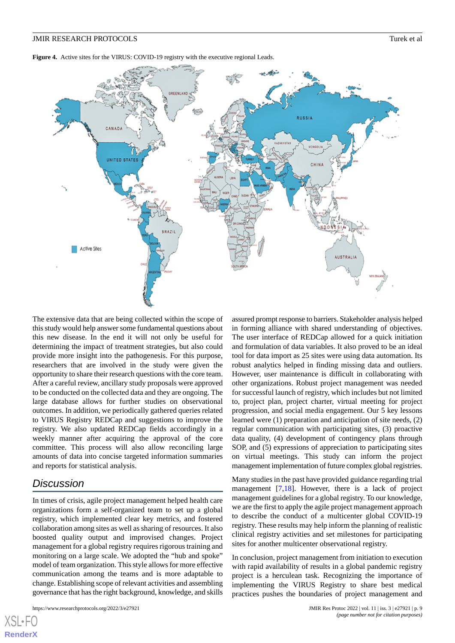<span id="page-8-0"></span>Figure 4. Active sites for the VIRUS: COVID-19 registry with the executive regional Leads.



The extensive data that are being collected within the scope of this study would help answer some fundamental questions about this new disease. In the end it will not only be useful for determining the impact of treatment strategies, but also could provide more insight into the pathogenesis. For this purpose, researchers that are involved in the study were given the opportunity to share their research questions with the core team. After a careful review, ancillary study proposals were approved to be conducted on the collected data and they are ongoing. The large database allows for further studies on observational outcomes. In addition, we periodically gathered queries related to VIRUS Registry REDCap and suggestions to improve the registry. We also updated REDCap fields accordingly in a weekly manner after acquiring the approval of the core committee. This process will also allow reconciling large amounts of data into concise targeted information summaries and reports for statistical analysis.

# *Discussion*

[XSL](http://www.w3.org/Style/XSL)•FO **[RenderX](http://www.renderx.com/)**

In times of crisis, agile project management helped health care organizations form a self-organized team to set up a global registry, which implemented clear key metrics, and fostered collaboration among sites as well as sharing of resources. It also boosted quality output and improvised changes. Project management for a global registry requires rigorous training and monitoring on a large scale. We adopted the "hub and spoke" model of team organization. This style allows for more effective communication among the teams and is more adaptable to change. Establishing scope of relevant activities and assembling governance that has the right background, knowledge, and skills

assured prompt response to barriers. Stakeholder analysis helped in forming alliance with shared understanding of objectives. The user interface of REDCap allowed for a quick initiation and formulation of data variables. It also proved to be an ideal tool for data import as 25 sites were using data automation. Its robust analytics helped in finding missing data and outliers. However, user maintenance is difficult in collaborating with other organizations. Robust project management was needed for successful launch of registry, which includes but not limited to, project plan, project charter, virtual meeting for project progression, and social media engagement. Our 5 key lessons learned were (1) preparation and anticipation of site needs, (2) regular communication with participating sites, (3) proactive data quality, (4) development of contingency plans through SOP, and (5) expressions of appreciation to participating sites on virtual meetings. This study can inform the project management implementation of future complex global registries.

Many studies in the past have provided guidance regarding trial management [\[7](#page-9-6),[18\]](#page-10-1). However, there is a lack of project management guidelines for a global registry. To our knowledge, we are the first to apply the agile project management approach to describe the conduct of a multicenter global COVID-19 registry. These results may help inform the planning of realistic clinical registry activities and set milestones for participating sites for another multicenter observational registry.

In conclusion, project management from initiation to execution with rapid availability of results in a global pandemic registry project is a herculean task. Recognizing the importance of implementing the VIRUS Registry to share best medical practices pushes the boundaries of project management and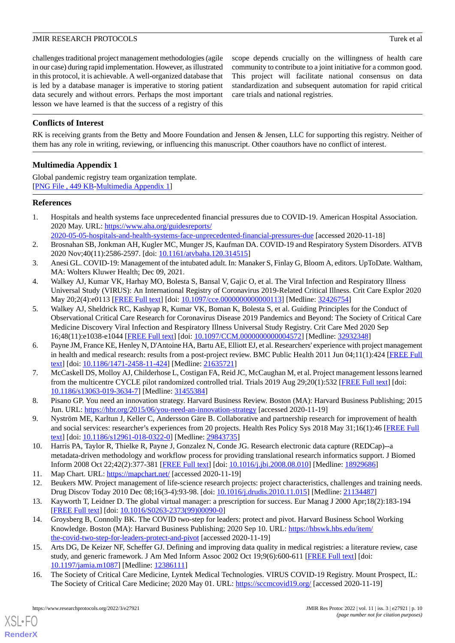challenges traditional project management methodologies (agile in our case) during rapid implementation. However, as illustrated in this protocol, it is achievable. A well-organized database that is led by a database manager is imperative to storing patient data securely and without errors. Perhaps the most important lesson we have learned is that the success of a registry of this scope depends crucially on the willingness of health care community to contribute to a joint initiative for a common good. This project will facilitate national consensus on data standardization and subsequent automation for rapid critical care trials and national registries.

# **Conflicts of Interest**

<span id="page-9-12"></span>RK is receiving grants from the Betty and Moore Foundation and Jensen & Jensen, LLC for supporting this registry. Neither of them has any role in writing, reviewing, or influencing this manuscript. Other coauthors have no conflict of interest.

# **Multimedia Appendix 1**

Global pandemic registry team organization template. [[PNG File , 449 KB-Multimedia Appendix 1](https://jmir.org/api/download?alt_name=resprot_v11i3e27921_app1.png&filename=d15c5db8817d3f592c17df0435913e14.png)]

# <span id="page-9-0"></span>**References**

- <span id="page-9-1"></span>1. Hospitals and health systems face unprecedented financial pressures due to COVID-19. American Hospital Association. 2020 May. URL: [https://www.aha.org/guidesreports/](https://www.aha.org/guidesreports/2020-05-05-hospitals-and-health-systems-face-unprecedented-financial-pressures-due) [2020-05-05-hospitals-and-health-systems-face-unprecedented-financial-pressures-due](https://www.aha.org/guidesreports/2020-05-05-hospitals-and-health-systems-face-unprecedented-financial-pressures-due) [accessed 2020-11-18]
- <span id="page-9-2"></span>2. Brosnahan SB, Jonkman AH, Kugler MC, Munger JS, Kaufman DA. COVID-19 and Respiratory System Disorders. ATVB 2020 Nov;40(11):2586-2597. [doi: [10.1161/atvbaha.120.314515](http://dx.doi.org/10.1161/atvbaha.120.314515)]
- <span id="page-9-3"></span>3. Anesi GL. COVID-19: Management of the intubated adult. In: Manaker S, Finlay G, Bloom A, editors. UpToDate. Waltham, MA: Wolters Kluwer Health; Dec 09, 2021.
- <span id="page-9-4"></span>4. Walkey AJ, Kumar VK, Harhay MO, Bolesta S, Bansal V, Gajic O, et al. The Viral Infection and Respiratory Illness Universal Study (VIRUS): An International Registry of Coronavirus 2019-Related Critical Illness. Crit Care Explor 2020 May 20;2(4):e0113 [[FREE Full text](https://journals.lww.com/ccejournal/Fulltext/2020/04000/The_Viral_Infection_and_Respiratory_Illness.26.aspx)] [doi: [10.1097/cce.0000000000000113\]](http://dx.doi.org/10.1097/cce.0000000000000113) [Medline: [32426754](http://www.ncbi.nlm.nih.gov/entrez/query.fcgi?cmd=Retrieve&db=PubMed&list_uids=32426754&dopt=Abstract)]
- <span id="page-9-5"></span>5. Walkey AJ, Sheldrick RC, Kashyap R, Kumar VK, Boman K, Bolesta S, et al. Guiding Principles for the Conduct of Observational Critical Care Research for Coronavirus Disease 2019 Pandemics and Beyond: The Society of Critical Care Medicine Discovery Viral Infection and Respiratory Illness Universal Study Registry. Crit Care Med 2020 Sep 16;48(11):e1038-e1044 [[FREE Full text](https://journals.lww.com/ccmjournal/Fulltext/2020/11000/Guiding_Principles_for_the_Conduct_of.30.aspx)] [doi: [10.1097/CCM.0000000000004572](http://dx.doi.org/10.1097/CCM.0000000000004572)] [Medline: [32932348](http://www.ncbi.nlm.nih.gov/entrez/query.fcgi?cmd=Retrieve&db=PubMed&list_uids=32932348&dopt=Abstract)]
- <span id="page-9-6"></span>6. Payne JM, France KE, Henley N, D'Antoine HA, Bartu AE, Elliott EJ, et al. Researchers' experience with project management in health and medical research: results from a post-project review. BMC Public Health 2011 Jun 04;11(1):424 [[FREE Full](https://bmcpublichealth.biomedcentral.com/articles/10.1186/1471-2458-11-424) [text](https://bmcpublichealth.biomedcentral.com/articles/10.1186/1471-2458-11-424)] [doi: [10.1186/1471-2458-11-424\]](http://dx.doi.org/10.1186/1471-2458-11-424) [Medline: [21635721\]](http://www.ncbi.nlm.nih.gov/entrez/query.fcgi?cmd=Retrieve&db=PubMed&list_uids=21635721&dopt=Abstract)
- <span id="page-9-8"></span><span id="page-9-7"></span>7. McCaskell DS, Molloy AJ, Childerhose L, Costigan FA, Reid JC, McCaughan M, et al. Project management lessons learned from the multicentre CYCLE pilot randomized controlled trial. Trials 2019 Aug 29;20(1):532 [[FREE Full text](https://trialsjournal.biomedcentral.com/articles/10.1186/s13063-019-3634-7)] [doi: [10.1186/s13063-019-3634-7\]](http://dx.doi.org/10.1186/s13063-019-3634-7) [Medline: [31455384](http://www.ncbi.nlm.nih.gov/entrez/query.fcgi?cmd=Retrieve&db=PubMed&list_uids=31455384&dopt=Abstract)]
- <span id="page-9-9"></span>8. Pisano GP. You need an innovation strategy. Harvard Business Review. Boston (MA): Harvard Business Publishing; 2015 Jun. URL: <https://hbr.org/2015/06/you-need-an-innovation-strategy> [accessed 2020-11-19]
- <span id="page-9-10"></span>9. Nyström ME, Karltun J, Keller C, Andersson Gäre B. Collaborative and partnership research for improvement of health and social services: researcher's experiences from 20 projects. Health Res Policy Sys 2018 May 31;16(1):46 [[FREE Full](https://health-policy-systems.biomedcentral.com/articles/10.1186/s12961-018-0322-0) [text](https://health-policy-systems.biomedcentral.com/articles/10.1186/s12961-018-0322-0)] [doi: [10.1186/s12961-018-0322-0\]](http://dx.doi.org/10.1186/s12961-018-0322-0) [Medline: [29843735](http://www.ncbi.nlm.nih.gov/entrez/query.fcgi?cmd=Retrieve&db=PubMed&list_uids=29843735&dopt=Abstract)]
- <span id="page-9-13"></span><span id="page-9-11"></span>10. Harris PA, Taylor R, Thielke R, Payne J, Gonzalez N, Conde JG. Research electronic data capture (REDCap)--a metadata-driven methodology and workflow process for providing translational research informatics support. J Biomed Inform 2008 Oct 22;42(2):377-381 [[FREE Full text](https://www.sciencedirect.com/science/article/pii/S1532046408001226?via%3Dihub)] [doi: [10.1016/j.jbi.2008.08.010\]](http://dx.doi.org/10.1016/j.jbi.2008.08.010) [Medline: [18929686\]](http://www.ncbi.nlm.nih.gov/entrez/query.fcgi?cmd=Retrieve&db=PubMed&list_uids=18929686&dopt=Abstract)
- <span id="page-9-14"></span>11. Map Chart. URL: <https://mapchart.net/> [accessed 2020-11-19]
- 12. Beukers MW. Project management of life-science research projects: project characteristics, challenges and training needs. Drug Discov Today 2010 Dec 08;16(3-4):93-98. [doi: [10.1016/j.drudis.2010.11.015\]](http://dx.doi.org/10.1016/j.drudis.2010.11.015) [Medline: [21134487\]](http://www.ncbi.nlm.nih.gov/entrez/query.fcgi?cmd=Retrieve&db=PubMed&list_uids=21134487&dopt=Abstract)
- <span id="page-9-15"></span>13. Kayworth T, Leidner D. The global virtual manager: a prescription for success. Eur Manag J 2000 Apr;18(2):183-194 [[FREE Full text](https://www.sciencedirect.com/science/article/pii/S0263237399000900)] [doi: [10.1016/S0263-2373\(99\)00090-0\]](http://dx.doi.org/10.1016/S0263-2373(99)00090-0)
- <span id="page-9-16"></span>14. Groysberg B, Connolly BK. The COVID two-step for leaders: protect and pivot. Harvard Business School Working Knowledge. Boston (MA): Harvard Business Publishing; 2020 Sep 10. URL: [https://hbswk.hbs.edu/item/](https://hbswk.hbs.edu/item/the-covid-two-step-for-leaders-protect-and-pivot) [the-covid-two-step-for-leaders-protect-and-pivot](https://hbswk.hbs.edu/item/the-covid-two-step-for-leaders-protect-and-pivot) [accessed 2020-11-19]
- 15. Arts DG, De Keizer NF, Scheffer GJ. Defining and improving data quality in medical registries: a literature review, case study, and generic framework. J Am Med Inform Assoc 2002 Oct 19;9(6):600-611 [[FREE Full text](https://academic.oup.com/jamia/article/9/6/600/1036696)] [doi: [10.1197/jamia.m1087](http://dx.doi.org/10.1197/jamia.m1087)] [Medline: [12386111](http://www.ncbi.nlm.nih.gov/entrez/query.fcgi?cmd=Retrieve&db=PubMed&list_uids=12386111&dopt=Abstract)]
- 16. The Society of Critical Care Medicine, Lyntek Medical Technologies. VIRUS COVID-19 Registry. Mount Prospect, IL: The Society of Critical Care Medicine; 2020 May 01. URL:<https://sccmcovid19.org/> [accessed 2020-11-19]

[XSL](http://www.w3.org/Style/XSL)•FO **[RenderX](http://www.renderx.com/)**